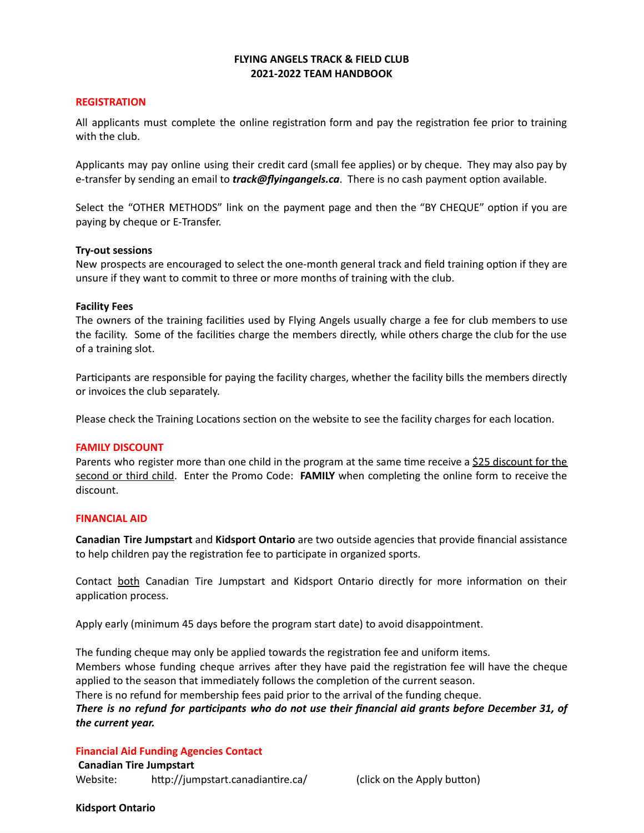# **FLYING ANGELS TRACK & FIELD CLUB 2021-2022 TEAM HANDBOOK**

#### **REGISTRATION**

All applicants must complete the online registration form and pay the registration fee prior to training with the club.

Applicants may pay online using their credit card (small fee applies) or by cheque. They may also pay by e-transfer by sending an email to *[track@flyingangels.ca](mailto:track@flyingangels.ca)*. There is no cash payment option available.

Select the "OTHER METHODS" link on the payment page and then the "BY CHEQUE" option if you are paying by cheque or E-Transfer.

#### **Try-out sessions**

New prospects are encouraged to select the one-month general track and field training option if they are unsure if they want to commit to three or more months of training with the club.

#### **Facility Fees**

The owners of the training facilities used by Flying Angels usually charge a fee for club members to use the facility. Some of the facilities charge the members directly, while others charge the club for the use of a training slot.

Participants are responsible for paying the facility charges, whether the facility bills the members directly or invoices the club separately.

Please check the Training Locations section on the website to see the facility charges for each location.

### **FAMILY DISCOUNT**

Parents who register more than one child in the program at the same time receive a \$25 discount for the second or third child. Enter the Promo Code: **FAMILY** when completing the online form to receive the discount.

#### **FINANCIAL AID**

**Canadian Tire Jumpstart** and **Kidsport Ontario** are two outside agencies that provide financial assistance to help children pay the registration fee to participate in organized sports.

Contact both Canadian Tire Jumpstart and Kidsport Ontario directly for more information on their application process.

Apply early (minimum 45 days before the program start date) to avoid disappointment.

The funding cheque may only be applied towards the registration fee and uniform items. Members whose funding cheque arrives after they have paid the registration fee will have the cheque applied to the season that immediately follows the completion of the current season. There is no refund for membership fees paid prior to the arrival of the funding cheque. There is no refund for participants who do not use their financial aid grants before December 31, of *the current year.*

### **Financial Aid Funding Agencies Contact**

**Canadian Tire Jumpstart** Website: <http://jumpstart.canadiantire.ca/> (click on the Apply button)

#### **Kidsport Ontario**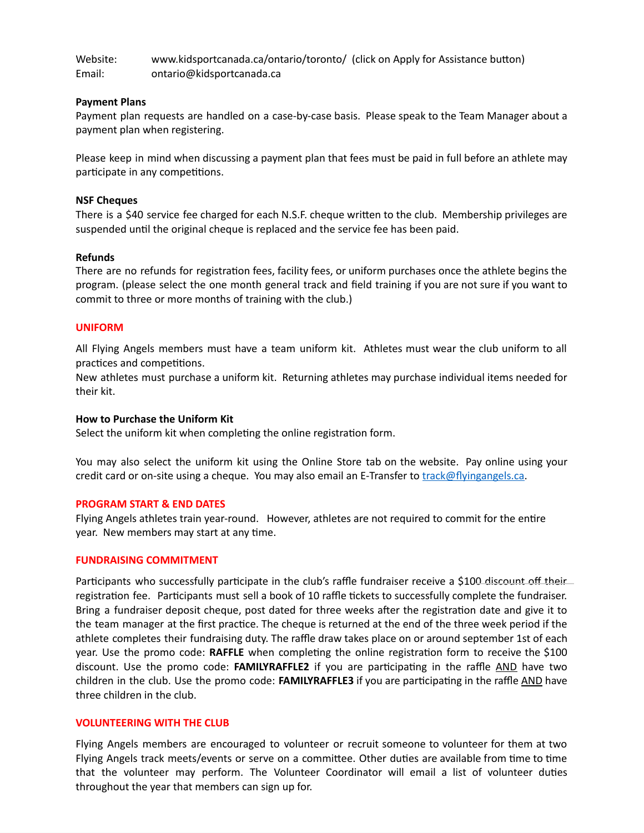Website: [www.kidsportcanada.ca/ontario/toronto/](http://www.kidsportcanada.ca/ontario/toronto/) (click on Apply for Assistance button) Email: ontario@kidsportcanada.ca

### **Payment Plans**

Payment plan requests are handled on a case-by-case basis. Please speak to the Team Manager about a payment plan when registering.

Please keep in mind when discussing a payment plan that fees must be paid in full before an athlete may participate in any competitions.

# **NSF Cheques**

There is a \$40 service fee charged for each N.S.F. cheque written to the club. Membership privileges are suspended until the original cheque is replaced and the service fee has been paid.

### **Refunds**

There are no refunds for registration fees, facility fees, or uniform purchases once the athlete begins the program. (please select the one month general track and field training if you are not sure if you want to commit to three or more months of training with the club.)

### **UNIFORM**

All Flying Angels members must have a team uniform kit. Athletes must wear the club uniform to all practices and competitions.

New athletes must purchase a uniform kit. Returning athletes may purchase individual items needed for their kit.

### **How to Purchase the Uniform Kit**

Select the uniform kit when completing the online registration form.

You may also select the uniform kit using the Online Store tab on the website. Pay online using your credit card or on-site using a cheque. You may also email an E-Transfer to [track@flyingangels.ca.](mailto:track@flyingangels.ca)

### **PROGRAM START & END DATES**

Flying Angels athletes train year-round. However, athletes are not required to commit for the entire year. New members may start at any time.

### **FUNDRAISING COMMITMENT**

Participants who successfully participate in the club's raffle fundraiser receive a \$100 discount off their registration fee. Participants must sell a book of 10 raffle tickets to successfully complete the fundraiser. Bring a fundraiser deposit cheque, post dated for three weeks after the registration date and give it to the team manager at the first practice. The cheque is returned at the end of the three week period if the athlete completes their fundraising duty. The raffle draw takes place on or around september 1st of each year. Use the promo code: **RAFFLE** when completing the online registration form to receive the \$100 discount. Use the promo code: **FAMILYRAFFLE2** if you are participating in the raffle AND have two children in the club. Use the promo code: **FAMILYRAFFLE3** if you are participating in the raffle AND have three children in the club.

# **VOLUNTEERING WITH THE CLUB**

Flying Angels members are encouraged to volunteer or recruit someone to volunteer for them at two Flying Angels track meets/events or serve on a committee. Other duties are available from time to time that the volunteer may perform. The Volunteer Coordinator will email a list of volunteer duties throughout the year that members can sign up for.